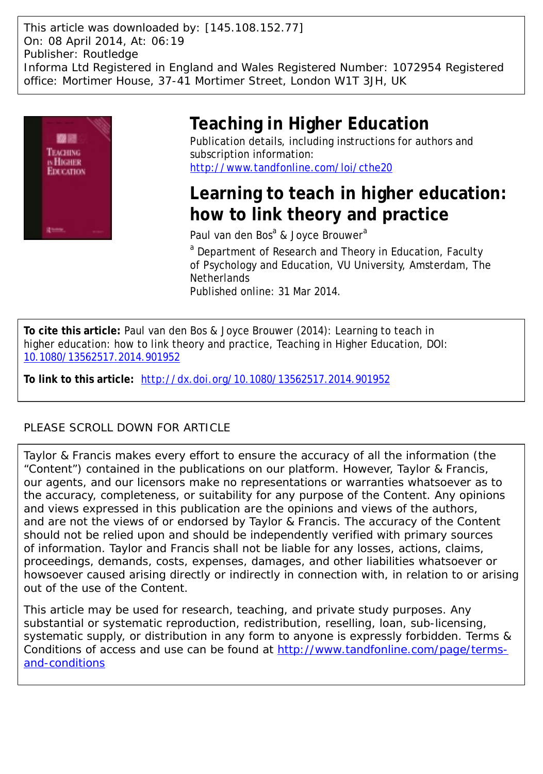This article was downloaded by: [145.108.152.77] On: 08 April 2014, At: 06:19 Publisher: Routledge Informa Ltd Registered in England and Wales Registered Number: 1072954 Registered office: Mortimer House, 37-41 Mortimer Street, London W1T 3JH, UK



## **Teaching in Higher Education**

Publication details, including instructions for authors and subscription information: <http://www.tandfonline.com/loi/cthe20>

# **Learning to teach in higher education: how to link theory and practice**

Paul van den Bos<sup>a</sup> & Joyce Brouwer<sup>a</sup> <sup>a</sup> Department of Research and Theory in Education, Faculty of Psychology and Education, VU University, Amsterdam, The **Netherlands** Published online: 31 Mar 2014.

**To cite this article:** Paul van den Bos & Joyce Brouwer (2014): Learning to teach in higher education: how to link theory and practice, Teaching in Higher Education, DOI: [10.1080/13562517.2014.901952](http://www.tandfonline.com/action/showCitFormats?doi=10.1080/13562517.2014.901952)

**To link to this article:** <http://dx.doi.org/10.1080/13562517.2014.901952>

## PLEASE SCROLL DOWN FOR ARTICLE

Taylor & Francis makes every effort to ensure the accuracy of all the information (the "Content") contained in the publications on our platform. However, Taylor & Francis, our agents, and our licensors make no representations or warranties whatsoever as to the accuracy, completeness, or suitability for any purpose of the Content. Any opinions and views expressed in this publication are the opinions and views of the authors, and are not the views of or endorsed by Taylor & Francis. The accuracy of the Content should not be relied upon and should be independently verified with primary sources of information. Taylor and Francis shall not be liable for any losses, actions, claims, proceedings, demands, costs, expenses, damages, and other liabilities whatsoever or howsoever caused arising directly or indirectly in connection with, in relation to or arising out of the use of the Content.

This article may be used for research, teaching, and private study purposes. Any substantial or systematic reproduction, redistribution, reselling, loan, sub-licensing, systematic supply, or distribution in any form to anyone is expressly forbidden. Terms & Conditions of access and use can be found at [http://www.tandfonline.com/page/terms](http://www.tandfonline.com/page/terms-and-conditions)[and-conditions](http://www.tandfonline.com/page/terms-and-conditions)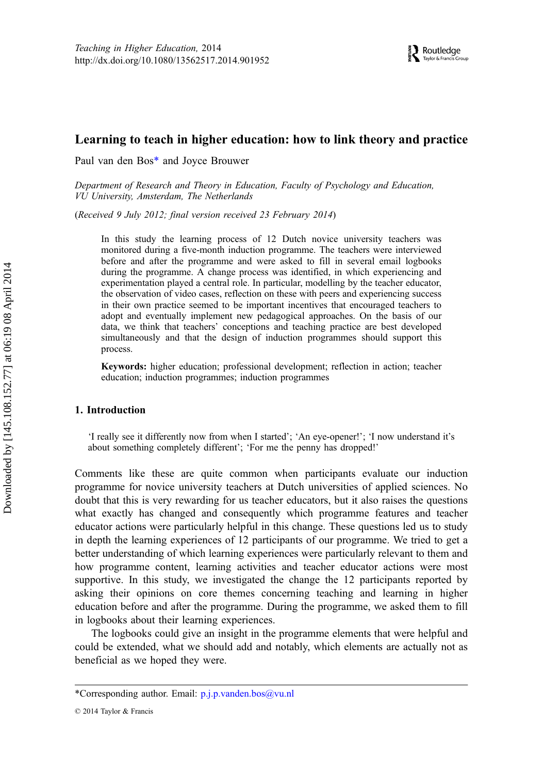## Learning to teach in higher education: how to link theory and practice

Paul van den Bos\* and Joyce Brouwer

Department of Research and Theory in Education, Faculty of Psychology and Education, VU University, Amsterdam, The Netherlands

(Received 9 July 2012; final version received 23 February 2014)

In this study the learning process of 12 Dutch novice university teachers was monitored during a five-month induction programme. The teachers were interviewed before and after the programme and were asked to fill in several email logbooks during the programme. A change process was identified, in which experiencing and experimentation played a central role. In particular, modelling by the teacher educator, the observation of video cases, reflection on these with peers and experiencing success in their own practice seemed to be important incentives that encouraged teachers to adopt and eventually implement new pedagogical approaches. On the basis of our data, we think that teachers' conceptions and teaching practice are best developed simultaneously and that the design of induction programmes should support this process.

Keywords: higher education; professional development; reflection in action; teacher education; induction programmes; induction programmes

#### 1. Introduction

'I really see it differently now from when I started'; 'An eye-opener!'; 'I now understand it's about something completely different'; 'For me the penny has dropped!'

Comments like these are quite common when participants evaluate our induction programme for novice university teachers at Dutch universities of applied sciences. No doubt that this is very rewarding for us teacher educators, but it also raises the questions what exactly has changed and consequently which programme features and teacher educator actions were particularly helpful in this change. These questions led us to study in depth the learning experiences of 12 participants of our programme. We tried to get a better understanding of which learning experiences were particularly relevant to them and how programme content, learning activities and teacher educator actions were most supportive. In this study, we investigated the change the 12 participants reported by asking their opinions on core themes concerning teaching and learning in higher education before and after the programme. During the programme, we asked them to fill in logbooks about their learning experiences.

The logbooks could give an insight in the programme elements that were helpful and could be extended, what we should add and notably, which elements are actually not as beneficial as we hoped they were.

<sup>\*</sup>Corresponding author. Email: [p.j.p.vanden.bos@vu.nl](mailto:p.j.p.vanden.bos@vu.nl)

<sup>© 2014</sup> Taylor & Francis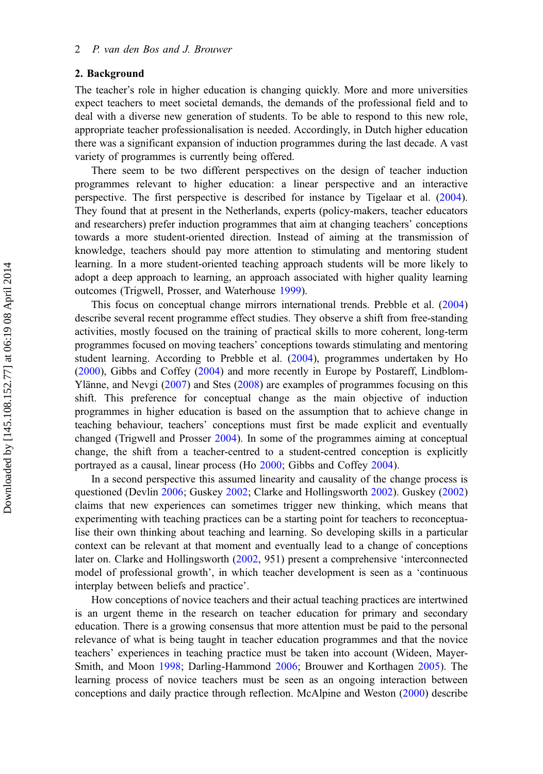#### 2. Background

The teacher's role in higher education is changing quickly. More and more universities expect teachers to meet societal demands, the demands of the professional field and to deal with a diverse new generation of students. To be able to respond to this new role, appropriate teacher professionalisation is needed. Accordingly, in Dutch higher education there was a significant expansion of induction programmes during the last decade. A vast variety of programmes is currently being offered.

There seem to be two different perspectives on the design of teacher induction programmes relevant to higher education: a linear perspective and an interactive perspective. The first perspective is described for instance by Tigelaar et al. ([2004](#page-15-0)). They found that at present in the Netherlands, experts (policy-makers, teacher educators and researchers) prefer induction programmes that aim at changing teachers' conceptions towards a more student-oriented direction. Instead of aiming at the transmission of knowledge, teachers should pay more attention to stimulating and mentoring student learning. In a more student-oriented teaching approach students will be more likely to adopt a deep approach to learning, an approach associated with higher quality learning outcomes (Trigwell, Prosser, and Waterhouse [1999\)](#page-15-0).

This focus on conceptual change mirrors international trends. Prebble et al. ([2004\)](#page-15-0) describe several recent programme effect studies. They observe a shift from free-standing activities, mostly focused on the training of practical skills to more coherent, long-term programmes focused on moving teachers' conceptions towards stimulating and mentoring student learning. According to Prebble et al. ([2004\)](#page-15-0), programmes undertaken by Ho [\(2000](#page-15-0)), Gibbs and Coffey [\(2004](#page-15-0)) and more recently in Europe by Postareff, Lindblom-Ylänne, and Nevgi ([2007\)](#page-15-0) and Stes ([2008\)](#page-15-0) are examples of programmes focusing on this shift. This preference for conceptual change as the main objective of induction programmes in higher education is based on the assumption that to achieve change in teaching behaviour, teachers' conceptions must first be made explicit and eventually changed (Trigwell and Prosser [2004](#page-15-0)). In some of the programmes aiming at conceptual change, the shift from a teacher-centred to a student-centred conception is explicitly portrayed as a causal, linear process (Ho [2000](#page-15-0); Gibbs and Coffey [2004\)](#page-15-0).

In a second perspective this assumed linearity and causality of the change process is questioned (Devlin [2006;](#page-15-0) Guskey [2002](#page-15-0); Clarke and Hollingsworth [2002](#page-14-0)). Guskey ([2002\)](#page-15-0) claims that new experiences can sometimes trigger new thinking, which means that experimenting with teaching practices can be a starting point for teachers to reconceptualise their own thinking about teaching and learning. So developing skills in a particular context can be relevant at that moment and eventually lead to a change of conceptions later on. Clarke and Hollingsworth ([2002,](#page-14-0) 951) present a comprehensive 'interconnected model of professional growth', in which teacher development is seen as a 'continuous interplay between beliefs and practice'.

How conceptions of novice teachers and their actual teaching practices are intertwined is an urgent theme in the research on teacher education for primary and secondary education. There is a growing consensus that more attention must be paid to the personal relevance of what is being taught in teacher education programmes and that the novice teachers' experiences in teaching practice must be taken into account (Wideen, Mayer-Smith, and Moon [1998](#page-15-0); Darling-Hammond [2006](#page-14-0); Brouwer and Korthagen [2005](#page-14-0)). The learning process of novice teachers must be seen as an ongoing interaction between conceptions and daily practice through reflection. McAlpine and Weston [\(2000](#page-15-0)) describe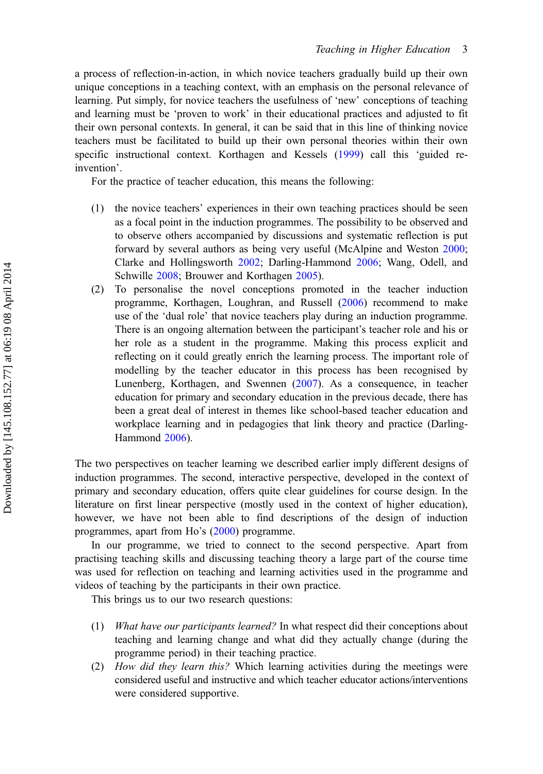a process of reflection-in-action, in which novice teachers gradually build up their own unique conceptions in a teaching context, with an emphasis on the personal relevance of learning. Put simply, for novice teachers the usefulness of 'new' conceptions of teaching and learning must be 'proven to work' in their educational practices and adjusted to fit their own personal contexts. In general, it can be said that in this line of thinking novice teachers must be facilitated to build up their own personal theories within their own specific instructional context. Korthagen and Kessels [\(1999](#page-15-0)) call this 'guided reinvention'.

For the practice of teacher education, this means the following:

- (1) the novice teachers' experiences in their own teaching practices should be seen as a focal point in the induction programmes. The possibility to be observed and to observe others accompanied by discussions and systematic reflection is put forward by several authors as being very useful (McAlpine and Weston [2000](#page-15-0); Clarke and Hollingsworth [2002](#page-14-0); Darling-Hammond [2006;](#page-14-0) Wang, Odell, and Schwille [2008](#page-15-0); Brouwer and Korthagen [2005\)](#page-14-0).
- (2) To personalise the novel conceptions promoted in the teacher induction programme, Korthagen, Loughran, and Russell ([2006\)](#page-15-0) recommend to make use of the 'dual role' that novice teachers play during an induction programme. There is an ongoing alternation between the participant's teacher role and his or her role as a student in the programme. Making this process explicit and reflecting on it could greatly enrich the learning process. The important role of modelling by the teacher educator in this process has been recognised by Lunenberg, Korthagen, and Swennen ([2007\)](#page-15-0). As a consequence, in teacher education for primary and secondary education in the previous decade, there has been a great deal of interest in themes like school-based teacher education and workplace learning and in pedagogies that link theory and practice (Darling-Hammond [2006\)](#page-14-0).

The two perspectives on teacher learning we described earlier imply different designs of induction programmes. The second, interactive perspective, developed in the context of primary and secondary education, offers quite clear guidelines for course design. In the literature on first linear perspective (mostly used in the context of higher education), however, we have not been able to find descriptions of the design of induction programmes, apart from Ho's ([2000\)](#page-15-0) programme.

In our programme, we tried to connect to the second perspective. Apart from practising teaching skills and discussing teaching theory a large part of the course time was used for reflection on teaching and learning activities used in the programme and videos of teaching by the participants in their own practice.

This brings us to our two research questions:

- (1) What have our participants learned? In what respect did their conceptions about teaching and learning change and what did they actually change (during the programme period) in their teaching practice.
- (2) How did they learn this? Which learning activities during the meetings were considered useful and instructive and which teacher educator actions/interventions were considered supportive.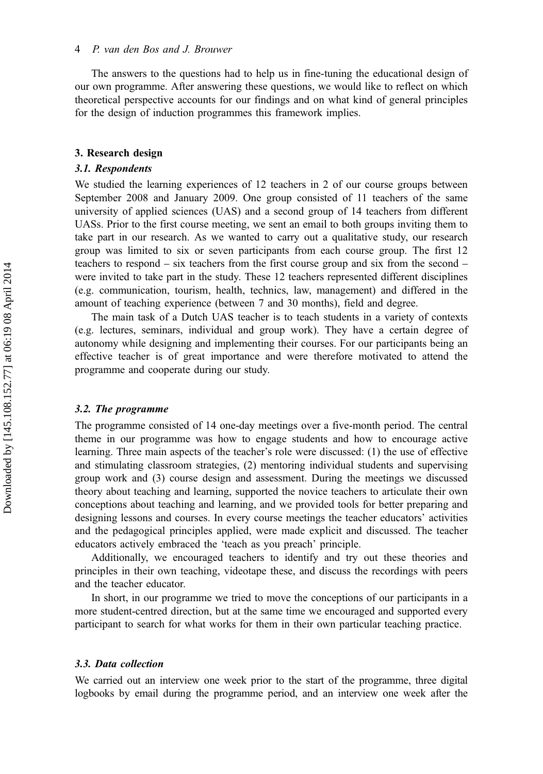The answers to the questions had to help us in fine-tuning the educational design of our own programme. After answering these questions, we would like to reflect on which theoretical perspective accounts for our findings and on what kind of general principles for the design of induction programmes this framework implies.

#### 3. Research design

#### 3.1. Respondents

We studied the learning experiences of 12 teachers in 2 of our course groups between September 2008 and January 2009. One group consisted of 11 teachers of the same university of applied sciences (UAS) and a second group of 14 teachers from different UASs. Prior to the first course meeting, we sent an email to both groups inviting them to take part in our research. As we wanted to carry out a qualitative study, our research group was limited to six or seven participants from each course group. The first 12 teachers to respond – six teachers from the first course group and six from the second – were invited to take part in the study. These 12 teachers represented different disciplines (e.g. communication, tourism, health, technics, law, management) and differed in the amount of teaching experience (between 7 and 30 months), field and degree.

The main task of a Dutch UAS teacher is to teach students in a variety of contexts (e.g. lectures, seminars, individual and group work). They have a certain degree of autonomy while designing and implementing their courses. For our participants being an effective teacher is of great importance and were therefore motivated to attend the programme and cooperate during our study.

#### 3.2. The programme

The programme consisted of 14 one-day meetings over a five-month period. The central theme in our programme was how to engage students and how to encourage active learning. Three main aspects of the teacher's role were discussed: (1) the use of effective and stimulating classroom strategies, (2) mentoring individual students and supervising group work and (3) course design and assessment. During the meetings we discussed theory about teaching and learning, supported the novice teachers to articulate their own conceptions about teaching and learning, and we provided tools for better preparing and designing lessons and courses. In every course meetings the teacher educators' activities and the pedagogical principles applied, were made explicit and discussed. The teacher educators actively embraced the 'teach as you preach' principle.

Additionally, we encouraged teachers to identify and try out these theories and principles in their own teaching, videotape these, and discuss the recordings with peers and the teacher educator.

In short, in our programme we tried to move the conceptions of our participants in a more student-centred direction, but at the same time we encouraged and supported every participant to search for what works for them in their own particular teaching practice.

#### 3.3. Data collection

We carried out an interview one week prior to the start of the programme, three digital logbooks by email during the programme period, and an interview one week after the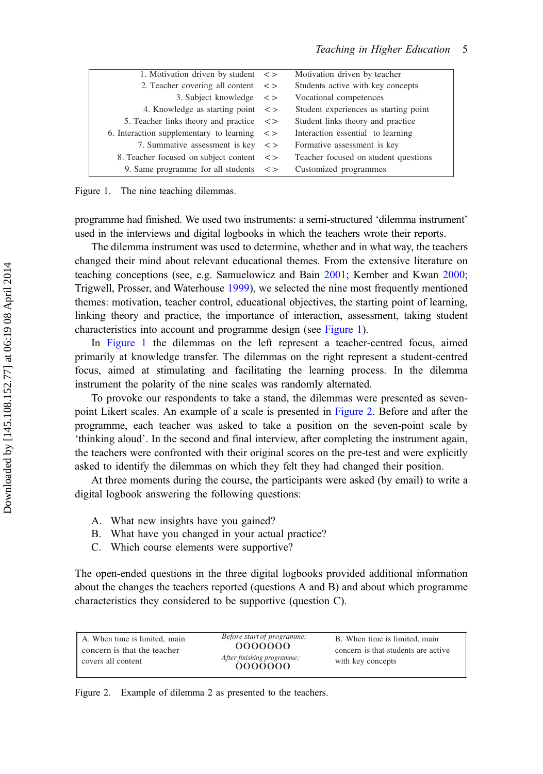| 1. Motivation driven by student $\lt$                      | Motivation driven by teacher          |
|------------------------------------------------------------|---------------------------------------|
| 2. Teacher covering all content $\langle \rangle$          | Students active with key concepts     |
| 3. Subject knowledge $\lt$                                 | Vocational competences                |
| 4. Knowledge as starting point $\langle \rangle$           | Student experiences as starting point |
| 5. Teacher links theory and practice $\langle \rangle$     | Student links theory and practice     |
| 6. Interaction supplementary to learning $\langle \rangle$ | Interaction essential to learning     |
| 7. Summative assessment is key $\langle \rangle$           | Formative assessment is key           |
| 8. Teacher focused on subject content <>                   | Teacher focused on student questions  |
| 9. Same programme for all students $\langle \rangle$       | Customized programmes                 |
|                                                            |                                       |

Figure 1. The nine teaching dilemmas.

programme had finished. We used two instruments: a semi-structured 'dilemma instrument' used in the interviews and digital logbooks in which the teachers wrote their reports.

The dilemma instrument was used to determine, whether and in what way, the teachers changed their mind about relevant educational themes. From the extensive literature on teaching conceptions (see, e.g. Samuelowicz and Bain [2001;](#page-15-0) Kember and Kwan [2000](#page-15-0); Trigwell, Prosser, and Waterhouse [1999\)](#page-15-0), we selected the nine most frequently mentioned themes: motivation, teacher control, educational objectives, the starting point of learning, linking theory and practice, the importance of interaction, assessment, taking student characteristics into account and programme design (see Figure 1).

In Figure 1 the dilemmas on the left represent a teacher-centred focus, aimed primarily at knowledge transfer. The dilemmas on the right represent a student-centred focus, aimed at stimulating and facilitating the learning process. In the dilemma instrument the polarity of the nine scales was randomly alternated.

To provoke our respondents to take a stand, the dilemmas were presented as sevenpoint Likert scales. An example of a scale is presented in Figure 2. Before and after the programme, each teacher was asked to take a position on the seven-point scale by 'thinking aloud'. In the second and final interview, after completing the instrument again, the teachers were confronted with their original scores on the pre-test and were explicitly asked to identify the dilemmas on which they felt they had changed their position.

At three moments during the course, the participants were asked (by email) to write a digital logbook answering the following questions:

- A. What new insights have you gained?
- B. What have you changed in your actual practice?
- C. Which course elements were supportive?

The open-ended questions in the three digital logbooks provided additional information about the changes the teachers reported (questions A and B) and about which programme characteristics they considered to be supportive (question C).

| Before start of programme:<br>A. When time is limited, main<br>0000000<br>concern is that the teacher<br>After finishing programme:<br>covers all content<br>0000000 | B. When time is limited, main<br>concern is that students are active<br>with key concepts |
|----------------------------------------------------------------------------------------------------------------------------------------------------------------------|-------------------------------------------------------------------------------------------|
|----------------------------------------------------------------------------------------------------------------------------------------------------------------------|-------------------------------------------------------------------------------------------|

Figure 2. Example of dilemma 2 as presented to the teachers.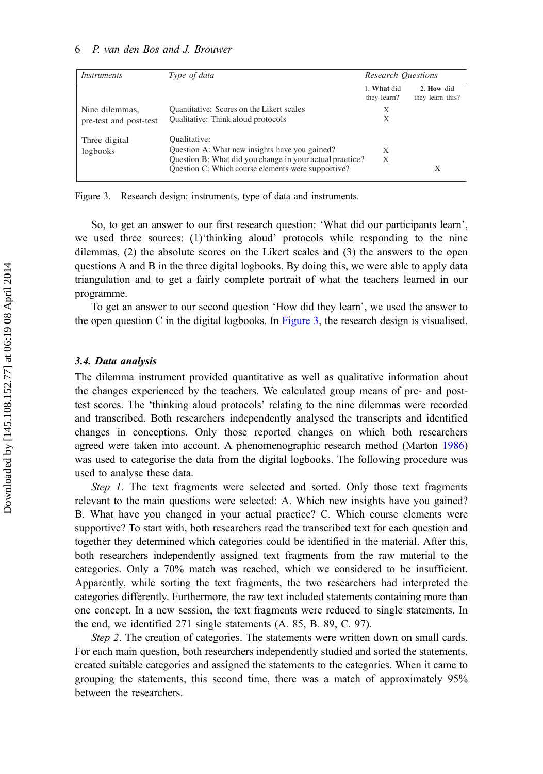| Type of data<br>Instruments |                                                          | <b>Research Ouestions</b>  |                                |  |  |
|-----------------------------|----------------------------------------------------------|----------------------------|--------------------------------|--|--|
|                             |                                                          | 1. What did<br>they learn? | 2. How did<br>they learn this? |  |  |
| Nine dilemmas,              | Quantitative: Scores on the Likert scales                | X                          |                                |  |  |
| pre-test and post-test      | Qualitative: Think aloud protocols                       | X                          |                                |  |  |
| Three digital               | Qualitative:                                             |                            |                                |  |  |
| logbooks                    | Question A: What new insights have you gained?           | X                          |                                |  |  |
|                             | Question B: What did you change in your actual practice? | X                          |                                |  |  |
|                             | Question C: Which course elements were supportive?       |                            | X                              |  |  |

Figure 3. Research design: instruments, type of data and instruments.

So, to get an answer to our first research question: 'What did our participants learn', we used three sources: (1)'thinking aloud' protocols while responding to the nine dilemmas, (2) the absolute scores on the Likert scales and (3) the answers to the open questions A and B in the three digital logbooks. By doing this, we were able to apply data triangulation and to get a fairly complete portrait of what the teachers learned in our programme.

To get an answer to our second question 'How did they learn', we used the answer to the open question C in the digital logbooks. In Figure 3, the research design is visualised.

#### 3.4. Data analysis

The dilemma instrument provided quantitative as well as qualitative information about the changes experienced by the teachers. We calculated group means of pre- and posttest scores. The 'thinking aloud protocols' relating to the nine dilemmas were recorded and transcribed. Both researchers independently analysed the transcripts and identified changes in conceptions. Only those reported changes on which both researchers agreed were taken into account. A phenomenographic research method (Marton [1986\)](#page-15-0) was used to categorise the data from the digital logbooks. The following procedure was used to analyse these data.

Step 1. The text fragments were selected and sorted. Only those text fragments relevant to the main questions were selected: A. Which new insights have you gained? B. What have you changed in your actual practice? C. Which course elements were supportive? To start with, both researchers read the transcribed text for each question and together they determined which categories could be identified in the material. After this, both researchers independently assigned text fragments from the raw material to the categories. Only a 70% match was reached, which we considered to be insufficient. Apparently, while sorting the text fragments, the two researchers had interpreted the categories differently. Furthermore, the raw text included statements containing more than one concept. In a new session, the text fragments were reduced to single statements. In the end, we identified 271 single statements (A. 85, B. 89, C. 97).

Step 2. The creation of categories. The statements were written down on small cards. For each main question, both researchers independently studied and sorted the statements, created suitable categories and assigned the statements to the categories. When it came to grouping the statements, this second time, there was a match of approximately 95% between the researchers.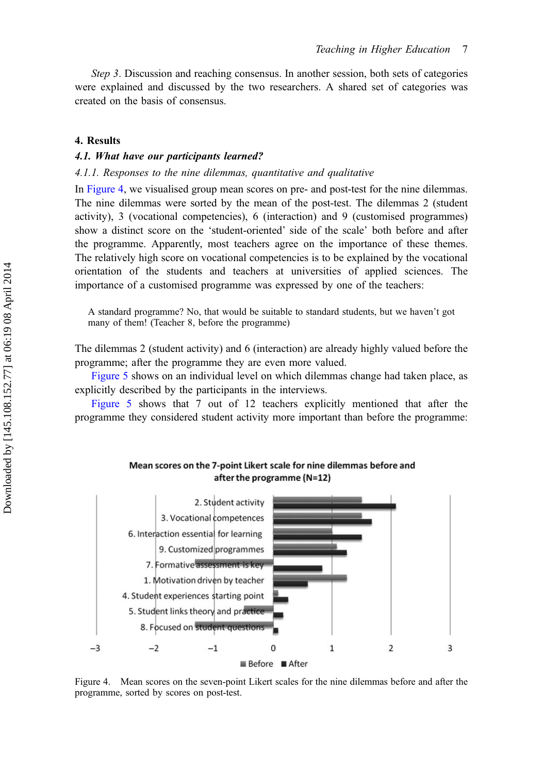<span id="page-7-0"></span>Step 3. Discussion and reaching consensus. In another session, both sets of categories were explained and discussed by the two researchers. A shared set of categories was created on the basis of consensus.

## 4. Results

#### 4.1. What have our participants learned?

#### 4.1.1. Responses to the nine dilemmas, quantitative and qualitative

In Figure 4, we visualised group mean scores on pre- and post-test for the nine dilemmas. The nine dilemmas were sorted by the mean of the post-test. The dilemmas 2 (student activity), 3 (vocational competencies), 6 (interaction) and 9 (customised programmes) show a distinct score on the 'student-oriented' side of the scale' both before and after the programme. Apparently, most teachers agree on the importance of these themes. The relatively high score on vocational competencies is to be explained by the vocational orientation of the students and teachers at universities of applied sciences. The importance of a customised programme was expressed by one of the teachers:

A standard programme? No, that would be suitable to standard students, but we haven't got many of them! (Teacher 8, before the programme)

The dilemmas 2 (student activity) and 6 (interaction) are already highly valued before the programme; after the programme they are even more valued.

[Figure 5](#page-8-0) shows on an individual level on which dilemmas change had taken place, as explicitly described by the participants in the interviews.

[Figure 5](#page-8-0) shows that 7 out of 12 teachers explicitly mentioned that after the programme they considered student activity more important than before the programme:



### Mean scores on the 7-point Likert scale for nine dilemmas before and after the programme (N=12)

Figure 4. Mean scores on the seven-point Likert scales for the nine dilemmas before and after the programme, sorted by scores on post-test.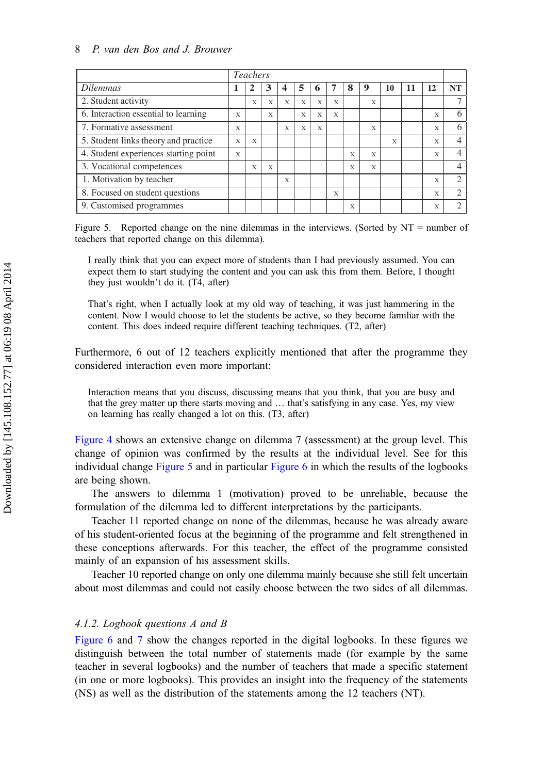<span id="page-8-0"></span>

|                                       | <b>Teachers</b> |   |   |   |   |   |   |   |   |    |    |    |           |
|---------------------------------------|-----------------|---|---|---|---|---|---|---|---|----|----|----|-----------|
| <b>Dilemmas</b>                       |                 | 2 | 3 | 4 | 5 | 6 | 7 | 8 | 9 | 10 | 11 | 12 | <b>NT</b> |
| 2. Student activity                   |                 | X | X | X | X | X | X |   | X |    |    |    |           |
| 6. Interaction essential to learning  | X               |   | X |   | X | X | X |   |   |    |    | X  | 6         |
| 7. Formative assessment               | X               |   |   | X | X | X |   |   | X |    |    | X  | 6         |
| 5. Student links theory and practice  | X               | X |   |   |   |   |   |   |   | X  |    | X  | 4         |
| 4. Student experiences starting point | X               |   |   |   |   |   |   | X | X |    |    | X  | 4         |
| 3. Vocational competences             |                 | X | X |   |   |   |   | X | X |    |    |    | 4         |
| 1. Motivation by teacher              |                 |   |   | X |   |   |   |   |   |    |    | X  | 2         |
| 8. Focused on student questions       |                 |   |   |   |   |   | X |   |   |    |    | X  | ↑         |
| 9. Customised programmes              |                 |   |   |   |   |   |   | X |   |    |    | X  | ↑         |

Figure 5. Reported change on the nine dilemmas in the interviews. (Sorted by NT = number of teachers that reported change on this dilemma).

I really think that you can expect more of students than I had previously assumed. You can expect them to start studying the content and you can ask this from them. Before, I thought they just wouldn't do it. (T4, after)

That's right, when I actually look at my old way of teaching, it was just hammering in the content. Now I would choose to let the students be active, so they become familiar with the content. This does indeed require different teaching techniques. (T2, after)

Furthermore, 6 out of 12 teachers explicitly mentioned that after the programme they considered interaction even more important:

Interaction means that you discuss, discussing means that you think, that you are busy and that the grey matter up there starts moving and … that's satisfying in any case. Yes, my view on learning has really changed a lot on this. (T3, after)

[Figure 4](#page-7-0) shows an extensive change on dilemma 7 (assessment) at the group level. This change of opinion was confirmed by the results at the individual level. See for this individual change Figure 5 and in particular [Figure 6](#page-9-0) in which the results of the logbooks are being shown.

The answers to dilemma 1 (motivation) proved to be unreliable, because the formulation of the dilemma led to different interpretations by the participants.

Teacher 11 reported change on none of the dilemmas, because he was already aware of his student-oriented focus at the beginning of the programme and felt strengthened in these conceptions afterwards. For this teacher, the effect of the programme consisted mainly of an expansion of his assessment skills.

Teacher 10 reported change on only one dilemma mainly because she still felt uncertain about most dilemmas and could not easily choose between the two sides of all dilemmas.

#### 4.1.2. Logbook questions A and B

[Figure 6](#page-9-0) and [7](#page-10-0) show the changes reported in the digital logbooks. In these figures we distinguish between the total number of statements made (for example by the same teacher in several logbooks) and the number of teachers that made a specific statement (in one or more logbooks). This provides an insight into the frequency of the statements (NS) as well as the distribution of the statements among the 12 teachers (NT).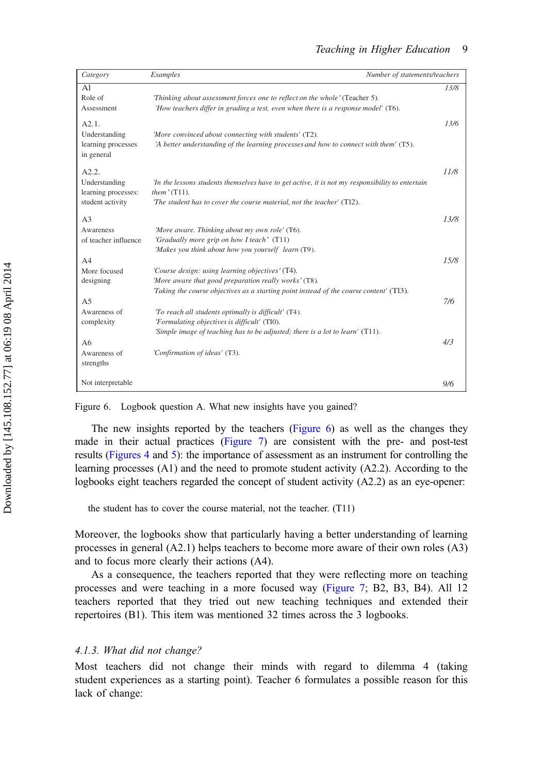<span id="page-9-0"></span>

| Category                             | Examples                                                                                                           | Number of statements/teachers |
|--------------------------------------|--------------------------------------------------------------------------------------------------------------------|-------------------------------|
| A1                                   |                                                                                                                    | 13/8                          |
| Role of                              | Thinking about assessment forces one to reflect on the whole' (Teacher 5).                                         |                               |
| Assessment                           | 'How teachers differ in grading a test, even when there is a response model' (T6).                                 |                               |
| A2.1.                                |                                                                                                                    | 13/6                          |
| Understanding                        | 'More convinced about connecting with students' (T2).                                                              |                               |
| learning processes<br>in general     | 'A better understanding of the learning processes and how to connect with them' (T5).                              |                               |
| A2.2.                                |                                                                                                                    | 11/8                          |
| Understanding<br>learning processes: | In the lessons students themselves have to get active, it is not my responsibility to entertain<br>them $'(T11)$ . |                               |
| student activity                     | The student has to cover the course material, not the teacher' (T12).                                              |                               |
| A <sub>3</sub>                       |                                                                                                                    | 13/8                          |
| Awareness                            | 'More aware. Thinking about my own role' (T6).                                                                     |                               |
| of teacher influence                 | 'Gradually more grip on how I teach' (T11)                                                                         |                               |
|                                      | 'Makes you think about how you yourself learn (T9).                                                                |                               |
| A <sub>4</sub>                       |                                                                                                                    | 15/8                          |
| More focused                         | 'Course design: using learning objectives' (T4).                                                                   |                               |
| designing                            | 'More aware that good preparation really works' (T8).                                                              |                               |
|                                      | Taking the course objectives as a starting point instead of the course content' (T13).                             |                               |
| A <sub>5</sub>                       |                                                                                                                    | 7/6                           |
| Awareness of                         | 'To reach all students optimally is difficult' (T4).                                                               |                               |
| complexity                           | 'Formulating objectives is difficult' (TI0).                                                                       |                               |
|                                      | 'Simple image of teaching has to be adjusted; there is a lot to learn' (T11).                                      |                               |
| A6                                   |                                                                                                                    | 4/3                           |
| Awareness of<br>strengths            | 'Confirmation of ideas' (T3).                                                                                      |                               |
| Not interpretable                    |                                                                                                                    | 9/6                           |

Figure 6. Logbook question A. What new insights have you gained?

The new insights reported by the teachers (Figure  $6$ ) as well as the changes they made in their actual practices ([Figure 7\)](#page-10-0) are consistent with the pre- and post-test results [\(Figures 4](#page-7-0) and [5\)](#page-8-0): the importance of assessment as an instrument for controlling the learning processes (A1) and the need to promote student activity (A2.2). According to the logbooks eight teachers regarded the concept of student activity (A2.2) as an eye-opener:

the student has to cover the course material, not the teacher. (T11)

Moreover, the logbooks show that particularly having a better understanding of learning processes in general (A2.1) helps teachers to become more aware of their own roles (A3) and to focus more clearly their actions (A4).

As a consequence, the teachers reported that they were reflecting more on teaching processes and were teaching in a more focused way [\(Figure 7;](#page-10-0) B2, B3, B4). All 12 teachers reported that they tried out new teaching techniques and extended their repertoires (B1). This item was mentioned 32 times across the 3 logbooks.

#### 4.1.3. What did not change?

Most teachers did not change their minds with regard to dilemma 4 (taking student experiences as a starting point). Teacher 6 formulates a possible reason for this lack of change: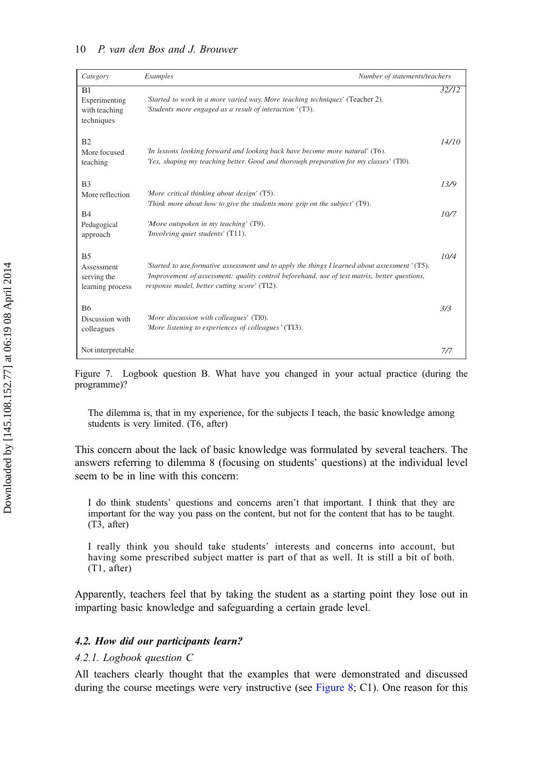<span id="page-10-0"></span>

| Category                                                   | Examples                                                                                                                                                                                                                                           | Number of statements/teachers |       |
|------------------------------------------------------------|----------------------------------------------------------------------------------------------------------------------------------------------------------------------------------------------------------------------------------------------------|-------------------------------|-------|
| B1<br>Experimenting<br>with teaching<br>techniques         | 'Started to work in a more varied way. More teaching techniques' (Teacher 2).<br>'Students more engaged as a result of interaction '(T3).                                                                                                          |                               | 32/12 |
| B <sub>2</sub><br>More focused<br>teaching                 | 'In lessons looking forward and looking back have become more natural' (T6).<br>'Yes, shaping my teaching better. Good and thorough preparation for my classes' (Tl0).                                                                             |                               | 14/10 |
| B <sub>3</sub><br>More reflection                          | 'More critical thinking about design' (T5).<br>Think more about how to give the students more grip on the subject' (T9).                                                                                                                           |                               | 13/9  |
| B <sub>4</sub><br>Pedagogical<br>approach                  | 'More outspoken in my teaching' (T9).<br>'Involving quiet students' $(T11)$ .                                                                                                                                                                      |                               | 10/7  |
| <b>B5</b><br>Assessment<br>serving the<br>learning process | 'Started to use formative assessment and to apply the things I learned about assessment $'(T5)$ .<br>'Improvement of assessment: quality control beforehand, use of test matrix, better questions,<br>response model, better cutting score' (Tl2). |                               | 10/4  |
| <b>B6</b><br>Discussion with<br>colleagues                 | 'More discussion with colleagues' (Tl0).<br>'More listening to experiences of colleagues' (T13).                                                                                                                                                   |                               | 3/3   |
| Not interpretable                                          |                                                                                                                                                                                                                                                    |                               | 777   |

Figure 7. Logbook question B. What have you changed in your actual practice (during the programme)?

The dilemma is, that in my experience, for the subjects I teach, the basic knowledge among students is very limited. (T6, after)

This concern about the lack of basic knowledge was formulated by several teachers. The answers referring to dilemma 8 (focusing on students' questions) at the individual level seem to be in line with this concern:

I do think students' questions and concerns aren't that important. I think that they are important for the way you pass on the content, but not for the content that has to be taught. (T3, after)

I really think you should take students' interests and concerns into account, but having some prescribed subject matter is part of that as well. It is still a bit of both. (T1, after)

Apparently, teachers feel that by taking the student as a starting point they lose out in imparting basic knowledge and safeguarding a certain grade level.

#### 4.2. How did our participants learn?

#### 4.2.1. Logbook question C

All teachers clearly thought that the examples that were demonstrated and discussed during the course meetings were very instructive (see [Figure 8](#page-11-0); C1). One reason for this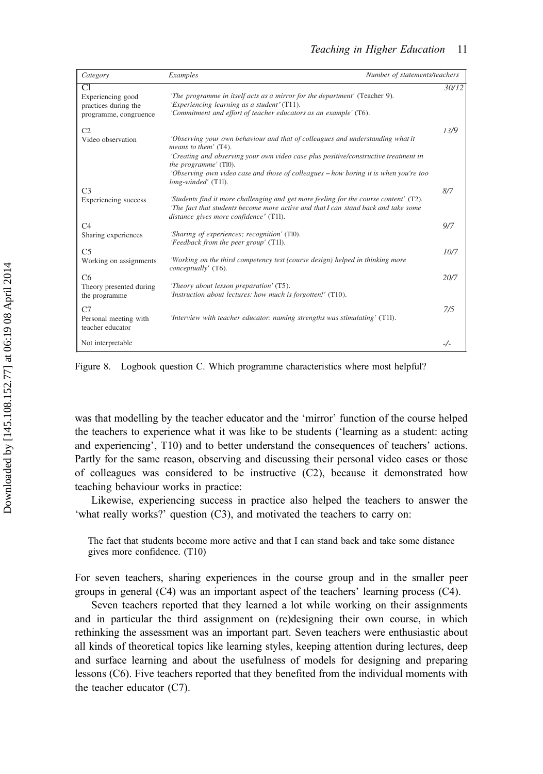<span id="page-11-0"></span>

| Category                                                                  | Examples                                                                                                                                                                                                                                                                                                       | Number of statements/teachers |
|---------------------------------------------------------------------------|----------------------------------------------------------------------------------------------------------------------------------------------------------------------------------------------------------------------------------------------------------------------------------------------------------------|-------------------------------|
| Cl.<br>Experiencing good<br>practices during the<br>programme, congruence | 'The programme in itself acts as a mirror for the department' (Teacher 9).<br>'Experiencing learning as a student' (T11).<br>'Commitment and effort of teacher educators as an example' (T6).                                                                                                                  | 30/12                         |
| C <sub>2</sub><br>Video observation                                       | 'Observing your own behaviour and that of colleagues and understanding what it<br>means to them' (T4).<br>'Creating and observing your own video case plus positive/constructive treatment in<br>the programme' (Tl0).<br>'Observing own video case and those of colleagues – how boring it is when you're too | 13/9                          |
| C <sub>3</sub><br>Experiencing success                                    | long-winded' (T11).<br>'Students find it more challenging and get more feeling for the course content' (T2).<br>'The fact that students become more active and that I can stand back and take some<br>distance gives more confidence' (T11).                                                                   | 8/7                           |
| C <sub>4</sub><br>Sharing experiences                                     | 'Sharing of experiences; recognition' (Tl0).<br>'Feedback from the peer group' (T11).                                                                                                                                                                                                                          | 9/7                           |
| C <sub>5</sub><br>Working on assignments                                  | 'Working on the third competency test (course design) helped in thinking more<br>conceptually' (T6).                                                                                                                                                                                                           | 10/7                          |
| C <sub>6</sub><br>Theory presented during<br>the programme                | 'Theory about lesson preparation' (T5).<br>'Instruction about lectures: how much is forgotten!' (T10).                                                                                                                                                                                                         | 20/7                          |
| C <sub>7</sub><br>Personal meeting with<br>teacher educator               | 'Interview with teacher educator: naming strengths was stimulating' (T11).                                                                                                                                                                                                                                     | 7/5                           |
| Not interpretable                                                         |                                                                                                                                                                                                                                                                                                                | -/-                           |

Figure 8. Logbook question C. Which programme characteristics where most helpful?

was that modelling by the teacher educator and the 'mirror' function of the course helped the teachers to experience what it was like to be students ('learning as a student: acting and experiencing', T10) and to better understand the consequences of teachers' actions. Partly for the same reason, observing and discussing their personal video cases or those of colleagues was considered to be instructive (C2), because it demonstrated how teaching behaviour works in practice:

Likewise, experiencing success in practice also helped the teachers to answer the 'what really works?' question (C3), and motivated the teachers to carry on:

The fact that students become more active and that I can stand back and take some distance gives more confidence. (T10)

For seven teachers, sharing experiences in the course group and in the smaller peer groups in general (C4) was an important aspect of the teachers' learning process (C4).

Seven teachers reported that they learned a lot while working on their assignments and in particular the third assignment on (re)designing their own course, in which rethinking the assessment was an important part. Seven teachers were enthusiastic about all kinds of theoretical topics like learning styles, keeping attention during lectures, deep and surface learning and about the usefulness of models for designing and preparing lessons (C6). Five teachers reported that they benefited from the individual moments with the teacher educator (C7).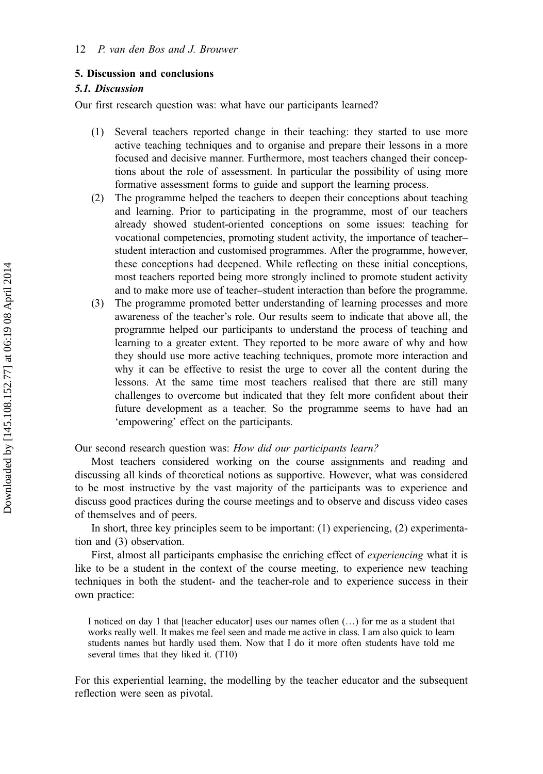### 5. Discussion and conclusions

#### 5.1. Discussion

Our first research question was: what have our participants learned?

- (1) Several teachers reported change in their teaching: they started to use more active teaching techniques and to organise and prepare their lessons in a more focused and decisive manner. Furthermore, most teachers changed their conceptions about the role of assessment. In particular the possibility of using more formative assessment forms to guide and support the learning process.
- (2) The programme helped the teachers to deepen their conceptions about teaching and learning. Prior to participating in the programme, most of our teachers already showed student-oriented conceptions on some issues: teaching for vocational competencies, promoting student activity, the importance of teacher– student interaction and customised programmes. After the programme, however, these conceptions had deepened. While reflecting on these initial conceptions, most teachers reported being more strongly inclined to promote student activity and to make more use of teacher–student interaction than before the programme.
- (3) The programme promoted better understanding of learning processes and more awareness of the teacher's role. Our results seem to indicate that above all, the programme helped our participants to understand the process of teaching and learning to a greater extent. They reported to be more aware of why and how they should use more active teaching techniques, promote more interaction and why it can be effective to resist the urge to cover all the content during the lessons. At the same time most teachers realised that there are still many challenges to overcome but indicated that they felt more confident about their future development as a teacher. So the programme seems to have had an 'empowering' effect on the participants.

Our second research question was: How did our participants learn?

Most teachers considered working on the course assignments and reading and discussing all kinds of theoretical notions as supportive. However, what was considered to be most instructive by the vast majority of the participants was to experience and discuss good practices during the course meetings and to observe and discuss video cases of themselves and of peers.

In short, three key principles seem to be important: (1) experiencing, (2) experimentation and (3) observation.

First, almost all participants emphasise the enriching effect of *experiencing* what it is like to be a student in the context of the course meeting, to experience new teaching techniques in both the student- and the teacher-role and to experience success in their own practice:

I noticed on day 1 that [teacher educator] uses our names often (…) for me as a student that works really well. It makes me feel seen and made me active in class. I am also quick to learn students names but hardly used them. Now that I do it more often students have told me several times that they liked it. (T10)

For this experiential learning, the modelling by the teacher educator and the subsequent reflection were seen as pivotal.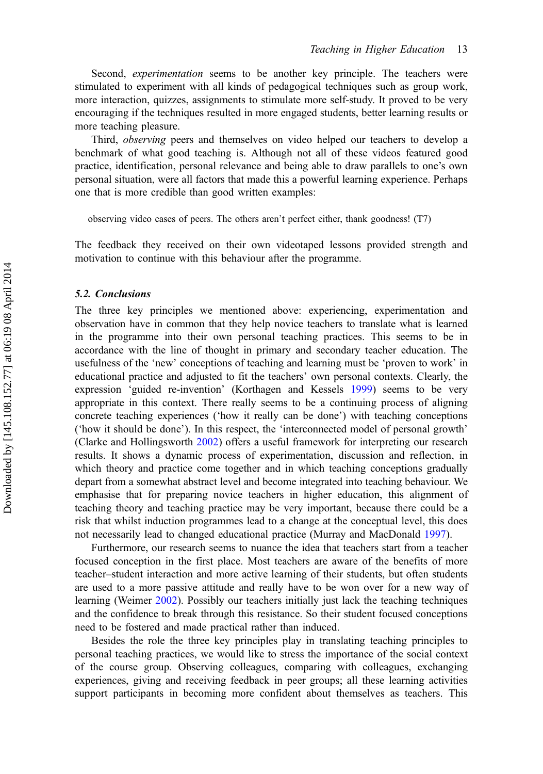Second, experimentation seems to be another key principle. The teachers were stimulated to experiment with all kinds of pedagogical techniques such as group work, more interaction, quizzes, assignments to stimulate more self-study. It proved to be very encouraging if the techniques resulted in more engaged students, better learning results or more teaching pleasure.

Third, observing peers and themselves on video helped our teachers to develop a benchmark of what good teaching is. Although not all of these videos featured good practice, identification, personal relevance and being able to draw parallels to one's own personal situation, were all factors that made this a powerful learning experience. Perhaps one that is more credible than good written examples:

observing video cases of peers. The others aren't perfect either, thank goodness! (T7)

The feedback they received on their own videotaped lessons provided strength and motivation to continue with this behaviour after the programme.

#### 5.2. Conclusions

The three key principles we mentioned above: experiencing, experimentation and observation have in common that they help novice teachers to translate what is learned in the programme into their own personal teaching practices. This seems to be in accordance with the line of thought in primary and secondary teacher education. The usefulness of the 'new' conceptions of teaching and learning must be 'proven to work' in educational practice and adjusted to fit the teachers' own personal contexts. Clearly, the expression 'guided re-invention' (Korthagen and Kessels [1999\)](#page-15-0) seems to be very appropriate in this context. There really seems to be a continuing process of aligning concrete teaching experiences ('how it really can be done') with teaching conceptions ('how it should be done'). In this respect, the 'interconnected model of personal growth' (Clarke and Hollingsworth [2002\)](#page-14-0) offers a useful framework for interpreting our research results. It shows a dynamic process of experimentation, discussion and reflection, in which theory and practice come together and in which teaching conceptions gradually depart from a somewhat abstract level and become integrated into teaching behaviour. We emphasise that for preparing novice teachers in higher education, this alignment of teaching theory and teaching practice may be very important, because there could be a risk that whilst induction programmes lead to a change at the conceptual level, this does not necessarily lead to changed educational practice (Murray and MacDonald [1997](#page-15-0)).

Furthermore, our research seems to nuance the idea that teachers start from a teacher focused conception in the first place. Most teachers are aware of the benefits of more teacher–student interaction and more active learning of their students, but often students are used to a more passive attitude and really have to be won over for a new way of learning (Weimer [2002](#page-15-0)). Possibly our teachers initially just lack the teaching techniques and the confidence to break through this resistance. So their student focused conceptions need to be fostered and made practical rather than induced.

Besides the role the three key principles play in translating teaching principles to personal teaching practices, we would like to stress the importance of the social context of the course group. Observing colleagues, comparing with colleagues, exchanging experiences, giving and receiving feedback in peer groups; all these learning activities support participants in becoming more confident about themselves as teachers. This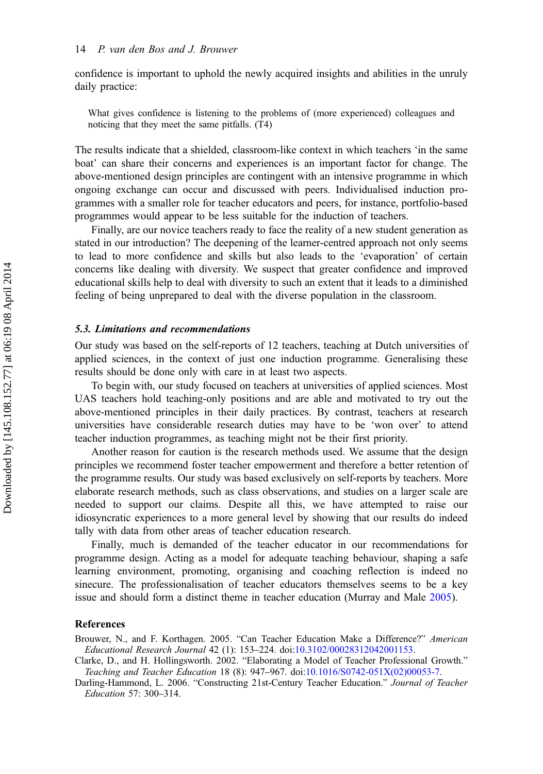<span id="page-14-0"></span>confidence is important to uphold the newly acquired insights and abilities in the unruly daily practice:

What gives confidence is listening to the problems of (more experienced) colleagues and noticing that they meet the same pitfalls. (T4)

The results indicate that a shielded, classroom-like context in which teachers 'in the same boat' can share their concerns and experiences is an important factor for change. The above-mentioned design principles are contingent with an intensive programme in which ongoing exchange can occur and discussed with peers. Individualised induction programmes with a smaller role for teacher educators and peers, for instance, portfolio-based programmes would appear to be less suitable for the induction of teachers.

Finally, are our novice teachers ready to face the reality of a new student generation as stated in our introduction? The deepening of the learner-centred approach not only seems to lead to more confidence and skills but also leads to the 'evaporation' of certain concerns like dealing with diversity. We suspect that greater confidence and improved educational skills help to deal with diversity to such an extent that it leads to a diminished feeling of being unprepared to deal with the diverse population in the classroom.

#### 5.3. Limitations and recommendations

Our study was based on the self-reports of 12 teachers, teaching at Dutch universities of applied sciences, in the context of just one induction programme. Generalising these results should be done only with care in at least two aspects.

To begin with, our study focused on teachers at universities of applied sciences. Most UAS teachers hold teaching-only positions and are able and motivated to try out the above-mentioned principles in their daily practices. By contrast, teachers at research universities have considerable research duties may have to be 'won over' to attend teacher induction programmes, as teaching might not be their first priority.

Another reason for caution is the research methods used. We assume that the design principles we recommend foster teacher empowerment and therefore a better retention of the programme results. Our study was based exclusively on self-reports by teachers. More elaborate research methods, such as class observations, and studies on a larger scale are needed to support our claims. Despite all this, we have attempted to raise our idiosyncratic experiences to a more general level by showing that our results do indeed tally with data from other areas of teacher education research.

Finally, much is demanded of the teacher educator in our recommendations for programme design. Acting as a model for adequate teaching behaviour, shaping a safe learning environment, promoting, organising and coaching reflection is indeed no sinecure. The professionalisation of teacher educators themselves seems to be a key issue and should form a distinct theme in teacher education (Murray and Male [2005](#page-15-0)).

#### References

Brouwer, N., and F. Korthagen. 2005. "Can Teacher Education Make a Difference?" American Educational Research Journal 42 (1): 153–224. doi[:10.3102/00028312042001153.](http://dx.doi.org/10.3102/00028312042001153)

Clarke, D., and H. Hollingsworth. 2002. "Elaborating a Model of Teacher Professional Growth." Teaching and Teacher Education 18 (8): 947–967. doi:[10.1016/S0742-051X\(02\)00053-7.](http://dx.doi.org/10.1016/S0742-051X(02)00053-7)

Darling-Hammond, L. 2006. "Constructing 21st-Century Teacher Education." Journal of Teacher Education 57: 300–314.